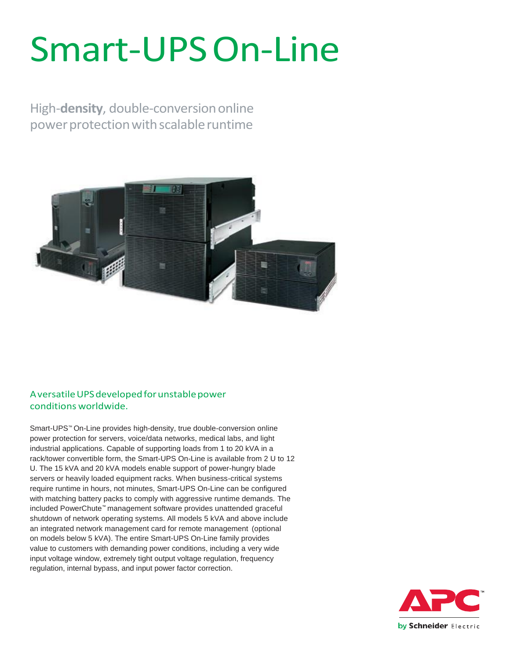# Smart-UPSOn-Line

High-**density**, double-conversiononline power protection with scalable runtime



#### A versatile UPS developed for unstable power conditions worldwide.

Smart-UPS™ On-Line provides high-density, true double-conversion online power protection for servers, voice/data networks, medical labs, and light industrial applications. Capable of supporting loads from 1 to 20 kVA in a rack/tower convertible form, the Smart-UPS On-Line is available from 2 U to 12 U. The 15 kVA and 20 kVA models enable support of power-hungry blade servers or heavily loaded equipment racks. When business-critical systems require runtime in hours, not minutes, Smart-UPS On-Line can be configured with matching battery packs to comply with aggressive runtime demands. The included PowerChute™ management software provides unattended graceful shutdown of network operating systems. All models 5 kVA and above include an integrated network management card for remote management (optional on models below 5 kVA). The entire Smart-UPS On-Line family provides value to customers with demanding power conditions, including a very wide input voltage window, extremely tight output voltage regulation, frequency regulation, internal bypass, and input power factor correction.

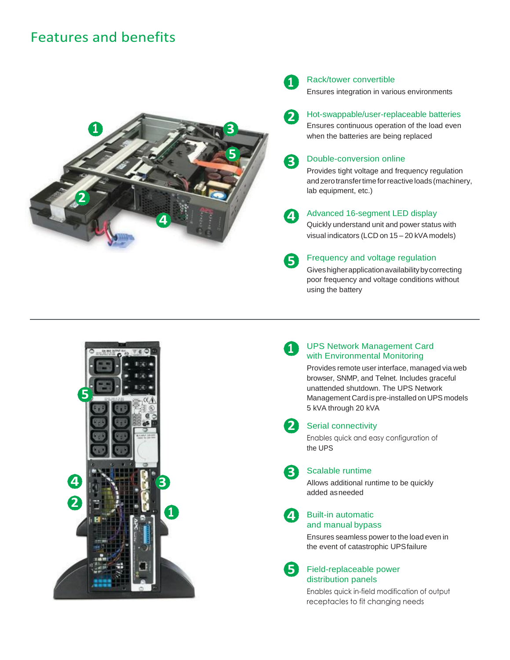## Features and benefits





#### Rack/tower convertible

Ensures integration in various environments

- Hot-swappable/user-replaceable batteries
- Ensures continuous operation of the load even when the batteries are being replaced



**2**

#### Double-conversion online

Provides tight voltage and frequency regulation andzerotransfertimeforreactive loads (machinery, lab equipment, etc.)

**4**

#### Advanced 16-segment LED display

Quickly understand unit and power status with visual indicators (LCD on 15 – 20 kVA models)



#### Frequency and voltage regulation

Giveshigherapplicationavailabilitybycorrecting poor frequency and voltage conditions without using the battery

**1**

#### UPS Network Management Card with Environmental Monitoring

Provides remote userinterface, managed via web browser, SNMP, and Telnet. Includes graceful unattended shutdown. The UPS Network Management Card is pre-installed on UPS models 5 kVA through 20 kVA



**4**

### 2 Serial connectivity

Enables quick and easy configuration of the UPS

#### **3**

Scalable runtime

Allows additional runtime to be quickly added asneeded

#### Built-in automatic and manual bypass

Ensures seamless power to the load even in the event of catastrophic UPSfailure

#### Field-replaceable power distribution panels **5**

Enables quick in-field modification of output receptacles to fit changing needs